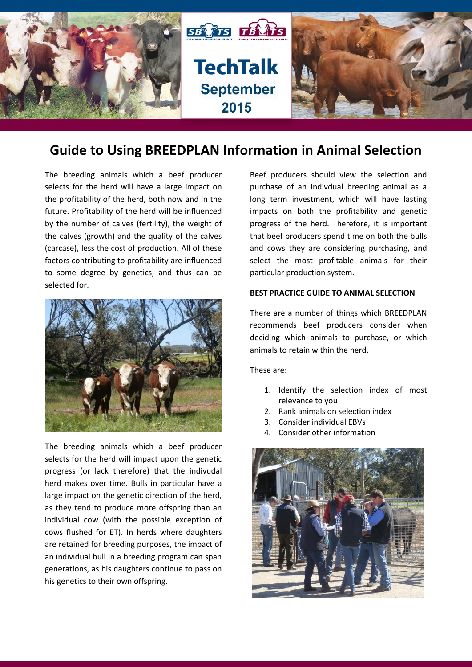

# **Guide to Using BREEDPLAN Information in Animal Selection**

The breeding animals which a beef producer selects for the herd will have a large impact on the profitability of the herd, both now and in the future. Profitability of the herd will be influenced by the number of calves (fertility), the weight of the calves (growth) and the quality of the calves (carcase), less the cost of production. All of these factors contributing to profitability are influenced to some degree by genetics, and thus can be selected for.



The breeding animals which a beef producer selects for the herd will impact upon the genetic progress (or lack therefore) that the indivudal herd makes over time. Bulls in particular have a large impact on the genetic direction of the herd, as they tend to produce more offspring than an individual cow (with the possible exception of cows flushed for ET). In herds where daughters are retained for breeding purposes, the impact of an individual bull in a breeding program can span generations, as his daughters continue to pass on his genetics to their own offspring.

Beef producers should view the selection and purchase of an indivdual breeding animal as a long term investment, which will have lasting impacts on both the profitability and genetic progress of the herd. Therefore, it is important that beef producers spend time on both the bulls and cows they are considering purchasing, and select the most profitable animals for their particular production system.

## **BEST PRACTICE GUIDE TO ANIMAL SELECTION**

There are a number of things which BREEDPLAN recommends beef producers consider when deciding which animals to purchase, or which animals to retain within the herd.

These are:

- 1. Identify the selection index of most relevance to you
- 2. Rank animals on selection index
- 3. Consider individual EBVs
- 4. Consider other information

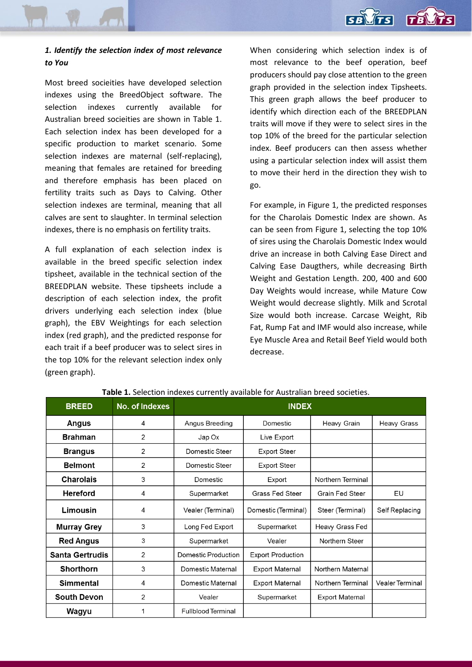

# *1. Identify the selection index of most relevance to You*

Most breed socieities have developed selection indexes using the BreedObject software. The selection indexes currently available for Australian breed socieities are shown in Table 1. Each selection index has been developed for a specific production to market scenario. Some selection indexes are maternal (self-replacing), meaning that females are retained for breeding and therefore emphasis has been placed on fertility traits such as Days to Calving. Other selection indexes are terminal, meaning that all calves are sent to slaughter. In terminal selection indexes, there is no emphasis on fertility traits.

A full explanation of each selection index is available in the breed specific selection index tipsheet, available in the technical section of the BREEDPLAN website. These tipsheets include a description of each selection index, the profit drivers underlying each selection index (blue graph), the EBV Weightings for each selection index (red graph), and the predicted response for each trait if a beef producer was to select sires in the top 10% for the relevant selection index only (green graph).

When considering which selection index is of most relevance to the beef operation, beef producers should pay close attention to the green graph provided in the selection index Tipsheets. This green graph allows the beef producer to identify which direction each of the BREEDPLAN traits will move if they were to select sires in the top 10% of the breed for the particular selection index. Beef producers can then assess whether using a particular selection index will assist them to move their herd in the direction they wish to go.

For example, in Figure 1, the predicted responses for the Charolais Domestic Index are shown. As can be seen from Figure 1, selecting the top 10% of sires using the Charolais Domestic Index would drive an increase in both Calving Ease Direct and Calving Ease Daugthers, while decreasing Birth Weight and Gestation Length. 200, 400 and 600 Day Weights would increase, while Mature Cow Weight would decrease slightly. Milk and Scrotal Size would both increase. Carcase Weight, Rib Fat, Rump Fat and IMF would also increase, while Eye Muscle Area and Retail Beef Yield would both decrease.

| <b>BREED</b>           | No. of Indexes | <b>INDEX</b>              |                          |                        |                        |  |  |  |  |  |  |
|------------------------|----------------|---------------------------|--------------------------|------------------------|------------------------|--|--|--|--|--|--|
| <b>Angus</b>           | 4              | Angus Breeding            | Domestic                 | Heavy Grain            | <b>Heavy Grass</b>     |  |  |  |  |  |  |
| <b>Brahman</b>         | 2              | Jap Ox                    | Live Export              |                        |                        |  |  |  |  |  |  |
| <b>Brangus</b>         | 2              | Domestic Steer            | <b>Export Steer</b>      |                        |                        |  |  |  |  |  |  |
| <b>Belmont</b>         | 2              |                           | <b>Export Steer</b>      |                        |                        |  |  |  |  |  |  |
| <b>Charolais</b>       | 3              | Domestic                  | Export                   | Northern Terminal      |                        |  |  |  |  |  |  |
| <b>Hereford</b>        | 4              | Supermarket               | <b>Grass Fed Steer</b>   | <b>Grain Fed Steer</b> | EU                     |  |  |  |  |  |  |
| Limousin               | 4              |                           | Domestic (Terminal)      | Steer (Terminal)       | Self Replacing         |  |  |  |  |  |  |
| <b>Murray Grey</b>     | 3              | Long Fed Export           | Supermarket              | Heavy Grass Fed        |                        |  |  |  |  |  |  |
| <b>Red Angus</b>       | 3              | Supermarket               | Vealer                   | Northern Steer         |                        |  |  |  |  |  |  |
| <b>Santa Gertrudis</b> | 2              | Domestic Production       | <b>Export Production</b> |                        |                        |  |  |  |  |  |  |
| <b>Shorthorn</b>       | 3              | Domestic Maternal         | <b>Export Maternal</b>   | Northern Maternal      |                        |  |  |  |  |  |  |
| <b>Simmental</b>       | 4              | Domestic Maternal         | <b>Export Maternal</b>   | Northern Terminal      | <b>Vealer Terminal</b> |  |  |  |  |  |  |
| <b>South Devon</b>     | 2              | Vealer                    | Supermarket              | Export Maternal        |                        |  |  |  |  |  |  |
| Wagyu                  |                | <b>Fullblood Terminal</b> |                          |                        |                        |  |  |  |  |  |  |

#### **Table 1.** Selection indexes currently available for Australian breed societies.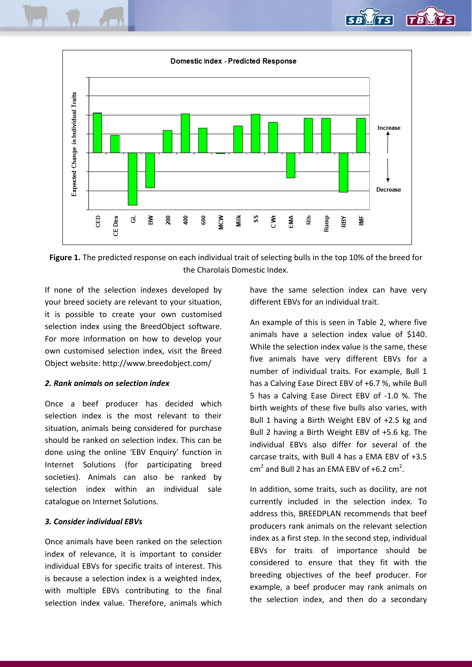



**Figure 1.** The predicted response on each individual trait of selecting bulls in the top 10% of the breed for the Charolais Domestic Index.

If none of the selection indexes developed by your breed society are relevant to your situation, it is possible to create your own customised selection index using the BreedObject software. For more information on how to develop your own customised selection index, visit the Breed Object website:<http://www.breedobject.com/>

#### *2. Rank animals on selection index*

Once a beef producer has decided which selection index is the most relevant to their situation, animals being considered for purchase should be ranked on selection index. This can be done using the online 'EBV Enquiry' function in Internet Solutions (for participating breed societies). Animals can also be ranked by selection index within an individual sale catalogue on Internet Solutions.

#### *3. Consider individual EBVs*

Once animals have been ranked on the selection index of relevance, it is important to consider individual EBVs for specific traits of interest. This is because a selection index is a weighted index, with multiple EBVs contributing to the final selection index value. Therefore, animals which have the same selection index can have very different EBVs for an individual trait.

An example of this is seen in Table 2, where five animals have a selection index value of \$140. While the selection index value is the same, these five animals have very different EBVs for a number of individual traits. For example, Bull 1 has a Calving Ease Direct EBV of +6.7 %, while Bull 5 has a Calving Ease Direct EBV of -1.0 %. The birth weights of these five bulls also varies, with Bull 1 having a Birth Weight EBV of +2.5 kg and Bull 2 having a Birth Weight EBV of +5.6 kg. The individual EBVs also differ for several of the carcase traits, with Bull 4 has a EMA EBV of +3.5  $cm<sup>2</sup>$  and Bull 2 has an EMA EBV of +6.2  $cm<sup>2</sup>$ .

In addition, some traits, such as docility, are not currently included in the selection index. To address this, BREEDPLAN recommends that beef producers rank animals on the relevant selection index as a first step. In the second step, individual EBVs for traits of importance should be considered to ensure that they fit with the breeding objectives of the beef producer. For example, a beef producer may rank animals on the selection index, and then do a secondary